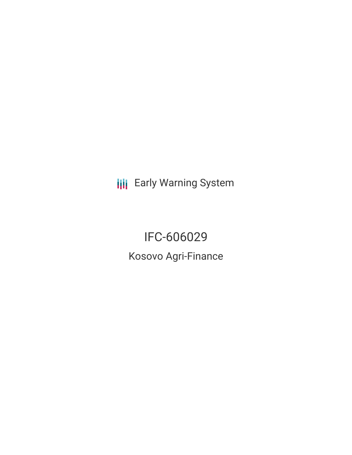**III** Early Warning System

IFC-606029 Kosovo Agri-Finance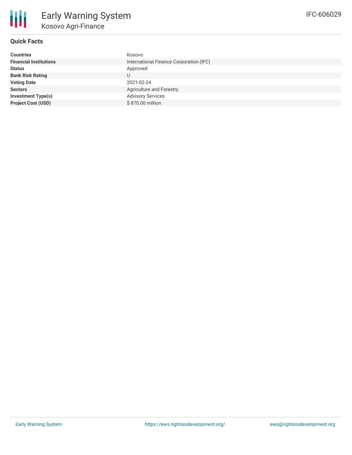

# **Quick Facts**

| <b>Countries</b>              | Kosovo                                  |
|-------------------------------|-----------------------------------------|
| <b>Financial Institutions</b> | International Finance Corporation (IFC) |
| <b>Status</b>                 | Approved                                |
| <b>Bank Risk Rating</b>       | U                                       |
| <b>Voting Date</b>            | 2021-02-24                              |
| <b>Sectors</b>                | Agriculture and Forestry                |
| <b>Investment Type(s)</b>     | <b>Advisory Services</b>                |
| <b>Project Cost (USD)</b>     | \$870.00 million                        |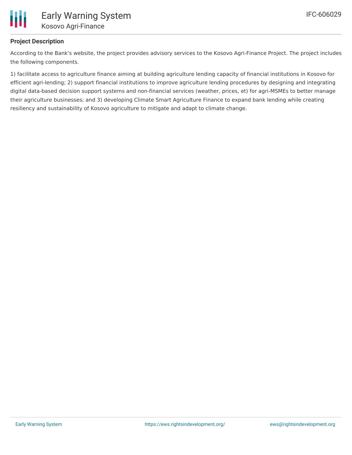

# **Project Description**

According to the Bank's website, the project provides advisory services to the Kosovo Agri-Finance Project. The project includes the following components.

1) facilitate access to agriculture finance aiming at building agriculture lending capacity of financial institutions in Kosovo for efficient agri-lending; 2) support financial institutions to improve agriculture lending procedures by designing and integrating digital data-based decision support systems and non-financial services (weather, prices, et) for agri-MSMEs to better manage their agriculture businesses; and 3) developing Climate Smart Agriculture Finance to expand bank lending while creating resiliency and sustainability of Kosovo agriculture to mitigate and adapt to climate change.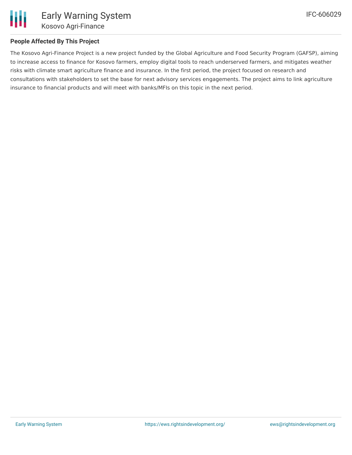

# **People Affected By This Project**

The Kosovo Agri-Finance Project is a new project funded by the Global Agriculture and Food Security Program (GAFSP), aiming to increase access to finance for Kosovo farmers, employ digital tools to reach underserved farmers, and mitigates weather risks with climate smart agriculture finance and insurance. In the first period, the project focused on research and consultations with stakeholders to set the base for next advisory services engagements. The project aims to link agriculture insurance to financial products and will meet with banks/MFIs on this topic in the next period.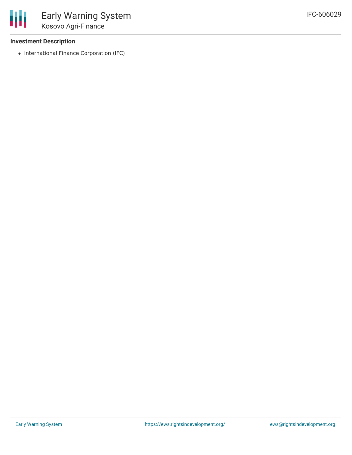### **Investment Description**

冊

• International Finance Corporation (IFC)